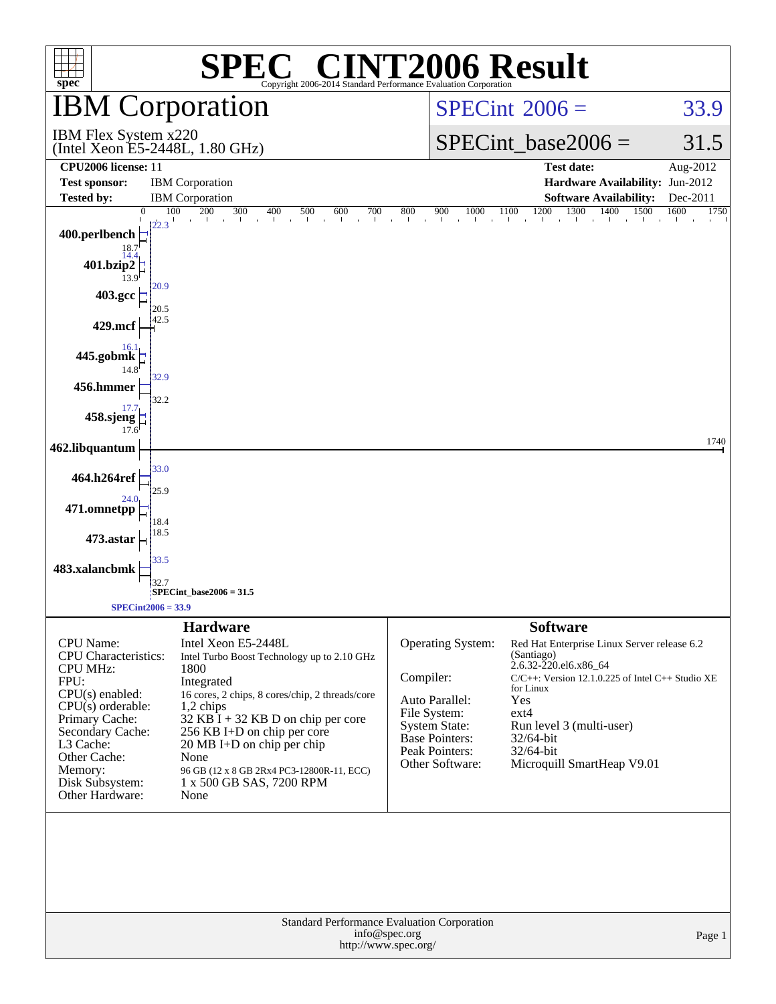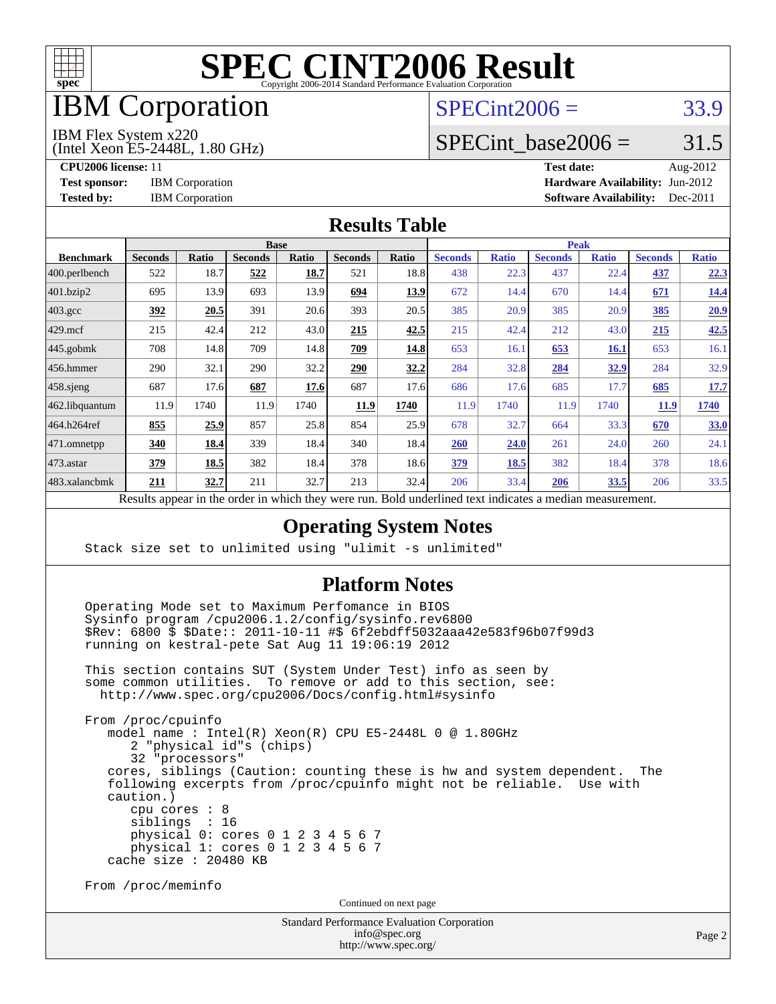

## IBM Corporation

#### $SPECint2006 = 33.9$  $SPECint2006 = 33.9$

IBM Flex System x220

(Intel Xeon E5-2448L, 1.80 GHz)

SPECint base2006 =  $31.5$ 

**[CPU2006 license:](http://www.spec.org/auto/cpu2006/Docs/result-fields.html#CPU2006license)** 11 **[Test date:](http://www.spec.org/auto/cpu2006/Docs/result-fields.html#Testdate)** Aug-2012 **[Test sponsor:](http://www.spec.org/auto/cpu2006/Docs/result-fields.html#Testsponsor)** IBM Corporation **[Hardware Availability:](http://www.spec.org/auto/cpu2006/Docs/result-fields.html#HardwareAvailability)** Jun-2012 **[Tested by:](http://www.spec.org/auto/cpu2006/Docs/result-fields.html#Testedby)** IBM Corporation **[Software Availability:](http://www.spec.org/auto/cpu2006/Docs/result-fields.html#SoftwareAvailability)** Dec-2011

#### **[Results Table](http://www.spec.org/auto/cpu2006/Docs/result-fields.html#ResultsTable)**

|                   | <b>Base</b>                                       |              |                |              |                |                                                     | <b>Peak</b>    |              |                |              |                |              |
|-------------------|---------------------------------------------------|--------------|----------------|--------------|----------------|-----------------------------------------------------|----------------|--------------|----------------|--------------|----------------|--------------|
| <b>Benchmark</b>  | <b>Seconds</b>                                    | <b>Ratio</b> | <b>Seconds</b> | <b>Ratio</b> | <b>Seconds</b> | <b>Ratio</b>                                        | <b>Seconds</b> | <b>Ratio</b> | <b>Seconds</b> | <b>Ratio</b> | <b>Seconds</b> | <b>Ratio</b> |
| $ 400$ .perlbench | 522                                               | 18.7         | 522            | 18.7         | 521            | 18.8                                                | 438            | 22.3         | 437            | 22.4         | 437            | 22.3         |
| 401.bzip2         | 695                                               | 13.9         | 693            | 13.9         | 694            | 13.9                                                | 672            | 14.4         | 670            | 14.4         | 671            | <u>14.4</u>  |
| $403.\text{gcc}$  | 392                                               | 20.5         | 391            | 20.6         | 393            | 20.5                                                | 385            | 20.9         | 385            | 20.9         | 385            | 20.9         |
| $429$ mcf         | 215                                               | 42.4         | 212            | 43.0         | 215            | 42.5                                                | 215            | 42.4         | 212            | 43.0         | 215            | 42.5         |
| $445$ .gobmk      | 708                                               | 14.8         | 709            | 14.8         | 709            | 14.8                                                | 653            | 16.1         | 653            | <b>16.1</b>  | 653            | 16.1         |
| $456.$ hmmer      | 290                                               | 32.1         | 290            | 32.2         | 290            | 32.2                                                | 284            | 32.8         | 284            | 32.9         | 284            | 32.9         |
| $458$ .sjeng      | 687                                               | 17.6         | 687            | 17.6         | 687            | 17.6                                                | 686            | 17.6         | 685            | 17.7         | 685            | 17.7         |
| 462.libquantum    | 11.9                                              | 1740         | 11.9           | 1740         | 11.9           | 1740                                                | 11.9           | 1740         | 11.9           | 1740         | <b>11.9</b>    | 1740         |
| 464.h264ref       | 855                                               | 25.9         | 857            | 25.8         | 854            | 25.9                                                | 678            | 32.7         | 664            | 33.3         | 670            | 33.0         |
| 471.omnetpp       | 340                                               | 18.4         | 339            | 18.4         | 340            | 18.4                                                | 260            | 24.0         | 261            | 24.0         | 260            | 24.1         |
| $473.$ astar      | 379                                               | 18.5         | 382            | 18.4         | 378            | 18.6                                                | 379            | 18.5         | 382            | 18.4         | 378            | 18.6         |
| 483.xalancbmk     | 211                                               | 32.7         | 211            | 32.7         | 213            | 32.4                                                | 206            | 33.4         | 206            | 33.5         | 206            | 33.5         |
|                   | Decute ennoye in the order in which they were mun |              |                |              |                | Dold underlined text indicates a madien measurement |                |              |                |              |                |              |

Results appear in the [order in which they were run.](http://www.spec.org/auto/cpu2006/Docs/result-fields.html#RunOrder) Bold underlined text [indicates a median measurement.](http://www.spec.org/auto/cpu2006/Docs/result-fields.html#Median)

#### **[Operating System Notes](http://www.spec.org/auto/cpu2006/Docs/result-fields.html#OperatingSystemNotes)**

Stack size set to unlimited using "ulimit -s unlimited"

#### **[Platform Notes](http://www.spec.org/auto/cpu2006/Docs/result-fields.html#PlatformNotes)**

 Operating Mode set to Maximum Perfomance in BIOS Sysinfo program /cpu2006.1.2/config/sysinfo.rev6800 \$Rev: 6800 \$ \$Date:: 2011-10-11 #\$ 6f2ebdff5032aaa42e583f96b07f99d3 running on kestral-pete Sat Aug 11 19:06:19 2012

 This section contains SUT (System Under Test) info as seen by some common utilities. To remove or add to this section, see: <http://www.spec.org/cpu2006/Docs/config.html#sysinfo>

 From /proc/cpuinfo model name : Intel(R) Xeon(R) CPU E5-2448L 0 @ 1.80GHz 2 "physical id"s (chips) 32 "processors" cores, siblings (Caution: counting these is hw and system dependent. The following excerpts from /proc/cpuinfo might not be reliable. Use with caution.) cpu cores : 8 siblings : 16 physical 0: cores 0 1 2 3 4 5 6 7 physical 1: cores 0 1 2 3 4 5 6 7 cache size : 20480 KB

From /proc/meminfo

Continued on next page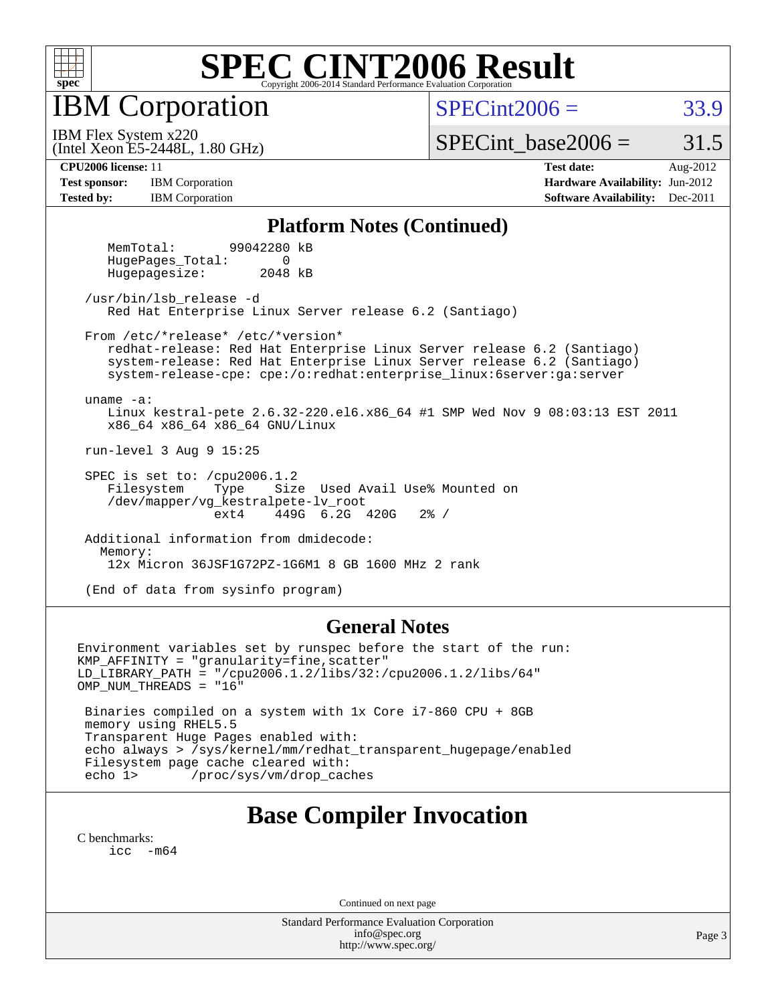

IBM Corporation

 $SPECint2006 = 33.9$  $SPECint2006 = 33.9$ 

(Intel Xeon E5-2448L, 1.80 GHz) IBM Flex System x220

SPECint base2006 =  $31.5$ 

**[Test sponsor:](http://www.spec.org/auto/cpu2006/Docs/result-fields.html#Testsponsor)** IBM Corporation **[Hardware Availability:](http://www.spec.org/auto/cpu2006/Docs/result-fields.html#HardwareAvailability)** Jun-2012 **[Tested by:](http://www.spec.org/auto/cpu2006/Docs/result-fields.html#Testedby)** IBM Corporation **IBM** Corporation **[Software Availability:](http://www.spec.org/auto/cpu2006/Docs/result-fields.html#SoftwareAvailability)** Dec-2011

**[CPU2006 license:](http://www.spec.org/auto/cpu2006/Docs/result-fields.html#CPU2006license)** 11 **[Test date:](http://www.spec.org/auto/cpu2006/Docs/result-fields.html#Testdate)** Aug-2012

#### **[Platform Notes \(Continued\)](http://www.spec.org/auto/cpu2006/Docs/result-fields.html#PlatformNotes)**

 MemTotal: 99042280 kB HugePages Total: 0 Hugepagesize: 2048 kB

 /usr/bin/lsb\_release -d Red Hat Enterprise Linux Server release 6.2 (Santiago)

From /etc/\*release\* /etc/\*version\*

 redhat-release: Red Hat Enterprise Linux Server release 6.2 (Santiago) system-release: Red Hat Enterprise Linux Server release 6.2 (Santiago) system-release-cpe: cpe:/o:redhat:enterprise\_linux:6server:ga:server

uname -a:

 Linux kestral-pete 2.6.32-220.el6.x86\_64 #1 SMP Wed Nov 9 08:03:13 EST 2011 x86\_64 x86\_64 x86\_64 GNU/Linux

run-level 3 Aug 9 15:25

SPEC is set to: /cpu2006.1.2<br>Filesystem Type Size Type Size Used Avail Use% Mounted on /dev/mapper/vg\_kestralpete-lv\_root ext4 449G 6.2G 420G 2% /

 Additional information from dmidecode: Memory: 12x Micron 36JSF1G72PZ-1G6M1 8 GB 1600 MHz 2 rank

(End of data from sysinfo program)

#### **[General Notes](http://www.spec.org/auto/cpu2006/Docs/result-fields.html#GeneralNotes)**

Environment variables set by runspec before the start of the run: KMP\_AFFINITY = "granularity=fine,scatter" LD\_LIBRARY\_PATH = "/cpu2006.1.2/libs/32:/cpu2006.1.2/libs/64" OMP\_NUM\_THREADS = "16" Binaries compiled on a system with 1x Core i7-860 CPU + 8GB memory using RHEL5.5 Transparent Huge Pages enabled with: echo always > /sys/kernel/mm/redhat\_transparent\_hugepage/enabled Filesystem page cache cleared with: echo 1> /proc/sys/vm/drop\_caches

### **[Base Compiler Invocation](http://www.spec.org/auto/cpu2006/Docs/result-fields.html#BaseCompilerInvocation)**

[C benchmarks](http://www.spec.org/auto/cpu2006/Docs/result-fields.html#Cbenchmarks): [icc -m64](http://www.spec.org/cpu2006/results/res2012q3/cpu2006-20120813-24205.flags.html#user_CCbase_intel_icc_64bit_f346026e86af2a669e726fe758c88044)

Continued on next page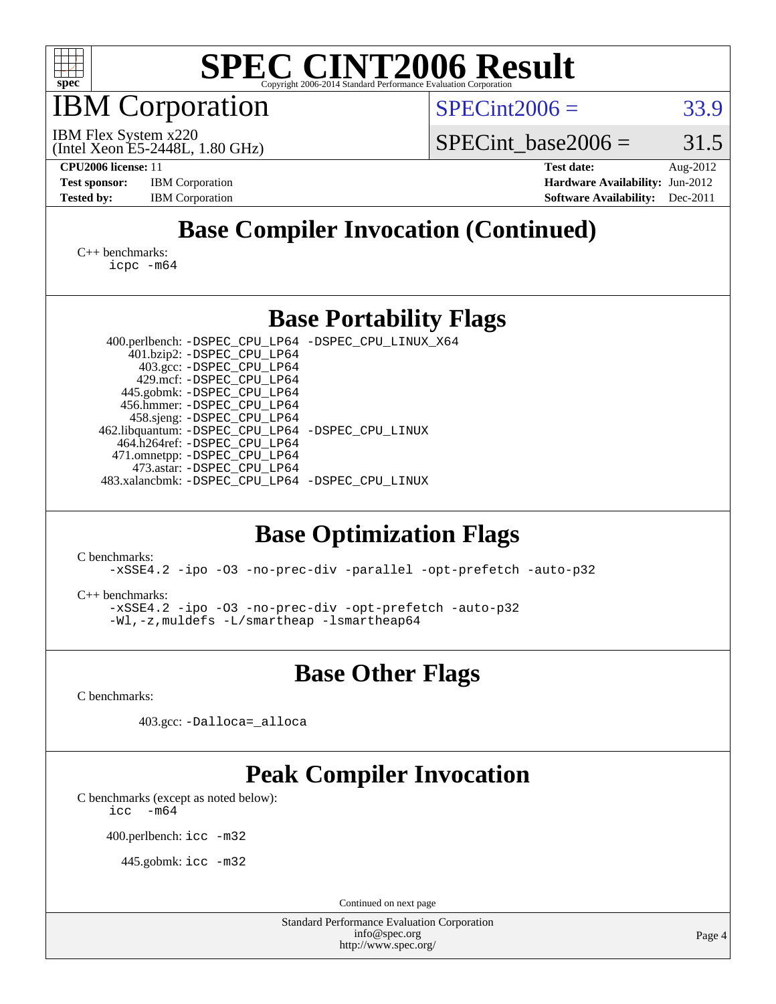

IBM Corporation

 $SPECint2006 = 33.9$  $SPECint2006 = 33.9$ 

(Intel Xeon E5-2448L, 1.80 GHz) IBM Flex System x220

SPECint base2006 =  $31.5$ 

**[CPU2006 license:](http://www.spec.org/auto/cpu2006/Docs/result-fields.html#CPU2006license)** 11 **[Test date:](http://www.spec.org/auto/cpu2006/Docs/result-fields.html#Testdate)** Aug-2012 **[Test sponsor:](http://www.spec.org/auto/cpu2006/Docs/result-fields.html#Testsponsor)** IBM Corporation **[Hardware Availability:](http://www.spec.org/auto/cpu2006/Docs/result-fields.html#HardwareAvailability)** Jun-2012 **[Tested by:](http://www.spec.org/auto/cpu2006/Docs/result-fields.html#Testedby)** IBM Corporation **IBM** Corporation **[Software Availability:](http://www.spec.org/auto/cpu2006/Docs/result-fields.html#SoftwareAvailability)** Dec-2011

### **[Base Compiler Invocation \(Continued\)](http://www.spec.org/auto/cpu2006/Docs/result-fields.html#BaseCompilerInvocation)**

[C++ benchmarks:](http://www.spec.org/auto/cpu2006/Docs/result-fields.html#CXXbenchmarks) [icpc -m64](http://www.spec.org/cpu2006/results/res2012q3/cpu2006-20120813-24205.flags.html#user_CXXbase_intel_icpc_64bit_fc66a5337ce925472a5c54ad6a0de310)

#### **[Base Portability Flags](http://www.spec.org/auto/cpu2006/Docs/result-fields.html#BasePortabilityFlags)**

 400.perlbench: [-DSPEC\\_CPU\\_LP64](http://www.spec.org/cpu2006/results/res2012q3/cpu2006-20120813-24205.flags.html#b400.perlbench_basePORTABILITY_DSPEC_CPU_LP64) [-DSPEC\\_CPU\\_LINUX\\_X64](http://www.spec.org/cpu2006/results/res2012q3/cpu2006-20120813-24205.flags.html#b400.perlbench_baseCPORTABILITY_DSPEC_CPU_LINUX_X64) 401.bzip2: [-DSPEC\\_CPU\\_LP64](http://www.spec.org/cpu2006/results/res2012q3/cpu2006-20120813-24205.flags.html#suite_basePORTABILITY401_bzip2_DSPEC_CPU_LP64) 403.gcc: [-DSPEC\\_CPU\\_LP64](http://www.spec.org/cpu2006/results/res2012q3/cpu2006-20120813-24205.flags.html#suite_basePORTABILITY403_gcc_DSPEC_CPU_LP64) 429.mcf: [-DSPEC\\_CPU\\_LP64](http://www.spec.org/cpu2006/results/res2012q3/cpu2006-20120813-24205.flags.html#suite_basePORTABILITY429_mcf_DSPEC_CPU_LP64) 445.gobmk: [-DSPEC\\_CPU\\_LP64](http://www.spec.org/cpu2006/results/res2012q3/cpu2006-20120813-24205.flags.html#suite_basePORTABILITY445_gobmk_DSPEC_CPU_LP64) 456.hmmer: [-DSPEC\\_CPU\\_LP64](http://www.spec.org/cpu2006/results/res2012q3/cpu2006-20120813-24205.flags.html#suite_basePORTABILITY456_hmmer_DSPEC_CPU_LP64) 458.sjeng: [-DSPEC\\_CPU\\_LP64](http://www.spec.org/cpu2006/results/res2012q3/cpu2006-20120813-24205.flags.html#suite_basePORTABILITY458_sjeng_DSPEC_CPU_LP64) 462.libquantum: [-DSPEC\\_CPU\\_LP64](http://www.spec.org/cpu2006/results/res2012q3/cpu2006-20120813-24205.flags.html#suite_basePORTABILITY462_libquantum_DSPEC_CPU_LP64) [-DSPEC\\_CPU\\_LINUX](http://www.spec.org/cpu2006/results/res2012q3/cpu2006-20120813-24205.flags.html#b462.libquantum_baseCPORTABILITY_DSPEC_CPU_LINUX) 464.h264ref: [-DSPEC\\_CPU\\_LP64](http://www.spec.org/cpu2006/results/res2012q3/cpu2006-20120813-24205.flags.html#suite_basePORTABILITY464_h264ref_DSPEC_CPU_LP64) 471.omnetpp: [-DSPEC\\_CPU\\_LP64](http://www.spec.org/cpu2006/results/res2012q3/cpu2006-20120813-24205.flags.html#suite_basePORTABILITY471_omnetpp_DSPEC_CPU_LP64) 473.astar: [-DSPEC\\_CPU\\_LP64](http://www.spec.org/cpu2006/results/res2012q3/cpu2006-20120813-24205.flags.html#suite_basePORTABILITY473_astar_DSPEC_CPU_LP64) 483.xalancbmk: [-DSPEC\\_CPU\\_LP64](http://www.spec.org/cpu2006/results/res2012q3/cpu2006-20120813-24205.flags.html#suite_basePORTABILITY483_xalancbmk_DSPEC_CPU_LP64) [-DSPEC\\_CPU\\_LINUX](http://www.spec.org/cpu2006/results/res2012q3/cpu2006-20120813-24205.flags.html#b483.xalancbmk_baseCXXPORTABILITY_DSPEC_CPU_LINUX)

### **[Base Optimization Flags](http://www.spec.org/auto/cpu2006/Docs/result-fields.html#BaseOptimizationFlags)**

[C benchmarks](http://www.spec.org/auto/cpu2006/Docs/result-fields.html#Cbenchmarks):

[-xSSE4.2](http://www.spec.org/cpu2006/results/res2012q3/cpu2006-20120813-24205.flags.html#user_CCbase_f-xSSE42_f91528193cf0b216347adb8b939d4107) [-ipo](http://www.spec.org/cpu2006/results/res2012q3/cpu2006-20120813-24205.flags.html#user_CCbase_f-ipo) [-O3](http://www.spec.org/cpu2006/results/res2012q3/cpu2006-20120813-24205.flags.html#user_CCbase_f-O3) [-no-prec-div](http://www.spec.org/cpu2006/results/res2012q3/cpu2006-20120813-24205.flags.html#user_CCbase_f-no-prec-div) [-parallel](http://www.spec.org/cpu2006/results/res2012q3/cpu2006-20120813-24205.flags.html#user_CCbase_f-parallel) [-opt-prefetch](http://www.spec.org/cpu2006/results/res2012q3/cpu2006-20120813-24205.flags.html#user_CCbase_f-opt-prefetch) [-auto-p32](http://www.spec.org/cpu2006/results/res2012q3/cpu2006-20120813-24205.flags.html#user_CCbase_f-auto-p32)

[C++ benchmarks:](http://www.spec.org/auto/cpu2006/Docs/result-fields.html#CXXbenchmarks)

[-xSSE4.2](http://www.spec.org/cpu2006/results/res2012q3/cpu2006-20120813-24205.flags.html#user_CXXbase_f-xSSE42_f91528193cf0b216347adb8b939d4107) [-ipo](http://www.spec.org/cpu2006/results/res2012q3/cpu2006-20120813-24205.flags.html#user_CXXbase_f-ipo) [-O3](http://www.spec.org/cpu2006/results/res2012q3/cpu2006-20120813-24205.flags.html#user_CXXbase_f-O3) [-no-prec-div](http://www.spec.org/cpu2006/results/res2012q3/cpu2006-20120813-24205.flags.html#user_CXXbase_f-no-prec-div) [-opt-prefetch](http://www.spec.org/cpu2006/results/res2012q3/cpu2006-20120813-24205.flags.html#user_CXXbase_f-opt-prefetch) [-auto-p32](http://www.spec.org/cpu2006/results/res2012q3/cpu2006-20120813-24205.flags.html#user_CXXbase_f-auto-p32) [-Wl,-z,muldefs](http://www.spec.org/cpu2006/results/res2012q3/cpu2006-20120813-24205.flags.html#user_CXXbase_link_force_multiple1_74079c344b956b9658436fd1b6dd3a8a) [-L/smartheap -lsmartheap64](http://www.spec.org/cpu2006/results/res2012q3/cpu2006-20120813-24205.flags.html#user_CXXbase_SmartHeap64_5e654037dadeae1fe403ab4b4466e60b)

**[Base Other Flags](http://www.spec.org/auto/cpu2006/Docs/result-fields.html#BaseOtherFlags)**

[C benchmarks](http://www.spec.org/auto/cpu2006/Docs/result-fields.html#Cbenchmarks):

403.gcc: [-Dalloca=\\_alloca](http://www.spec.org/cpu2006/results/res2012q3/cpu2006-20120813-24205.flags.html#b403.gcc_baseEXTRA_CFLAGS_Dalloca_be3056838c12de2578596ca5467af7f3)

### **[Peak Compiler Invocation](http://www.spec.org/auto/cpu2006/Docs/result-fields.html#PeakCompilerInvocation)**

[C benchmarks \(except as noted below\)](http://www.spec.org/auto/cpu2006/Docs/result-fields.html#Cbenchmarksexceptasnotedbelow):  $\text{icc}$  -m64

400.perlbench: [icc -m32](http://www.spec.org/cpu2006/results/res2012q3/cpu2006-20120813-24205.flags.html#user_peakCCLD400_perlbench_intel_icc_a6a621f8d50482236b970c6ac5f55f93)

445.gobmk: [icc -m32](http://www.spec.org/cpu2006/results/res2012q3/cpu2006-20120813-24205.flags.html#user_peakCCLD445_gobmk_intel_icc_a6a621f8d50482236b970c6ac5f55f93)

Continued on next page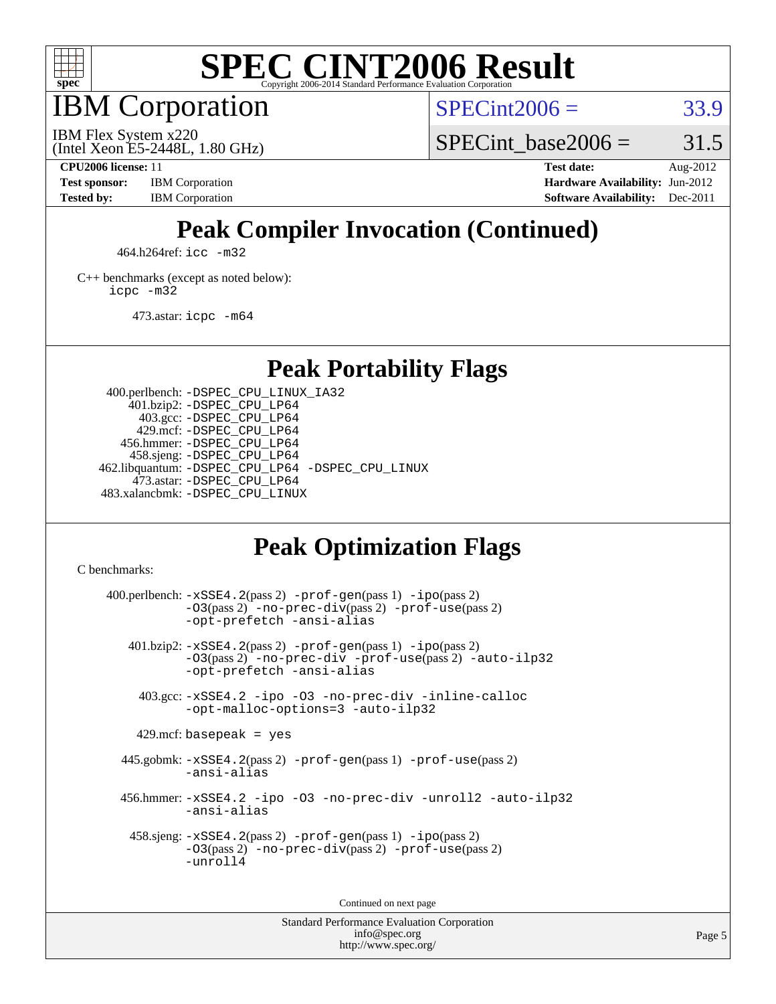

IBM Corporation

 $SPECint2006 = 33.9$  $SPECint2006 = 33.9$ 

(Intel Xeon E5-2448L, 1.80 GHz) IBM Flex System x220

SPECint base2006 =  $31.5$ 

**[CPU2006 license:](http://www.spec.org/auto/cpu2006/Docs/result-fields.html#CPU2006license)** 11 **[Test date:](http://www.spec.org/auto/cpu2006/Docs/result-fields.html#Testdate)** Aug-2012 **[Test sponsor:](http://www.spec.org/auto/cpu2006/Docs/result-fields.html#Testsponsor)** IBM Corporation **[Hardware Availability:](http://www.spec.org/auto/cpu2006/Docs/result-fields.html#HardwareAvailability)** Jun-2012 **[Tested by:](http://www.spec.org/auto/cpu2006/Docs/result-fields.html#Testedby)** IBM Corporation **[Software Availability:](http://www.spec.org/auto/cpu2006/Docs/result-fields.html#SoftwareAvailability)** Dec-2011

### **[Peak Compiler Invocation \(Continued\)](http://www.spec.org/auto/cpu2006/Docs/result-fields.html#PeakCompilerInvocation)**

464.h264ref: [icc -m32](http://www.spec.org/cpu2006/results/res2012q3/cpu2006-20120813-24205.flags.html#user_peakCCLD464_h264ref_intel_icc_a6a621f8d50482236b970c6ac5f55f93)

[C++ benchmarks \(except as noted below\):](http://www.spec.org/auto/cpu2006/Docs/result-fields.html#CXXbenchmarksexceptasnotedbelow) [icpc -m32](http://www.spec.org/cpu2006/results/res2012q3/cpu2006-20120813-24205.flags.html#user_CXXpeak_intel_icpc_4e5a5ef1a53fd332b3c49e69c3330699)

473.astar: [icpc -m64](http://www.spec.org/cpu2006/results/res2012q3/cpu2006-20120813-24205.flags.html#user_peakCXXLD473_astar_intel_icpc_64bit_fc66a5337ce925472a5c54ad6a0de310)

**[Peak Portability Flags](http://www.spec.org/auto/cpu2006/Docs/result-fields.html#PeakPortabilityFlags)**

 400.perlbench: [-DSPEC\\_CPU\\_LINUX\\_IA32](http://www.spec.org/cpu2006/results/res2012q3/cpu2006-20120813-24205.flags.html#b400.perlbench_peakCPORTABILITY_DSPEC_CPU_LINUX_IA32) 401.bzip2: [-DSPEC\\_CPU\\_LP64](http://www.spec.org/cpu2006/results/res2012q3/cpu2006-20120813-24205.flags.html#suite_peakPORTABILITY401_bzip2_DSPEC_CPU_LP64) 403.gcc: [-DSPEC\\_CPU\\_LP64](http://www.spec.org/cpu2006/results/res2012q3/cpu2006-20120813-24205.flags.html#suite_peakPORTABILITY403_gcc_DSPEC_CPU_LP64) 429.mcf: [-DSPEC\\_CPU\\_LP64](http://www.spec.org/cpu2006/results/res2012q3/cpu2006-20120813-24205.flags.html#suite_peakPORTABILITY429_mcf_DSPEC_CPU_LP64) 456.hmmer: [-DSPEC\\_CPU\\_LP64](http://www.spec.org/cpu2006/results/res2012q3/cpu2006-20120813-24205.flags.html#suite_peakPORTABILITY456_hmmer_DSPEC_CPU_LP64) 458.sjeng: [-DSPEC\\_CPU\\_LP64](http://www.spec.org/cpu2006/results/res2012q3/cpu2006-20120813-24205.flags.html#suite_peakPORTABILITY458_sjeng_DSPEC_CPU_LP64) 462.libquantum: [-DSPEC\\_CPU\\_LP64](http://www.spec.org/cpu2006/results/res2012q3/cpu2006-20120813-24205.flags.html#suite_peakPORTABILITY462_libquantum_DSPEC_CPU_LP64) [-DSPEC\\_CPU\\_LINUX](http://www.spec.org/cpu2006/results/res2012q3/cpu2006-20120813-24205.flags.html#b462.libquantum_peakCPORTABILITY_DSPEC_CPU_LINUX) 473.astar: [-DSPEC\\_CPU\\_LP64](http://www.spec.org/cpu2006/results/res2012q3/cpu2006-20120813-24205.flags.html#suite_peakPORTABILITY473_astar_DSPEC_CPU_LP64) 483.xalancbmk: [-DSPEC\\_CPU\\_LINUX](http://www.spec.org/cpu2006/results/res2012q3/cpu2006-20120813-24205.flags.html#b483.xalancbmk_peakCXXPORTABILITY_DSPEC_CPU_LINUX)

#### **[Peak Optimization Flags](http://www.spec.org/auto/cpu2006/Docs/result-fields.html#PeakOptimizationFlags)**

[C benchmarks](http://www.spec.org/auto/cpu2006/Docs/result-fields.html#Cbenchmarks):

 $400.$ perlbench:  $-xSSE4$ .  $2(pass 2)$  -prof-qen(pass 1) [-ipo](http://www.spec.org/cpu2006/results/res2012q3/cpu2006-20120813-24205.flags.html#user_peakPASS2_CFLAGSPASS2_LDCFLAGS400_perlbench_f-ipo)(pass 2) [-O3](http://www.spec.org/cpu2006/results/res2012q3/cpu2006-20120813-24205.flags.html#user_peakPASS2_CFLAGSPASS2_LDCFLAGS400_perlbench_f-O3)(pass 2) [-no-prec-div](http://www.spec.org/cpu2006/results/res2012q3/cpu2006-20120813-24205.flags.html#user_peakPASS2_CFLAGSPASS2_LDCFLAGS400_perlbench_f-no-prec-div)(pass 2) [-prof-use](http://www.spec.org/cpu2006/results/res2012q3/cpu2006-20120813-24205.flags.html#user_peakPASS2_CFLAGSPASS2_LDCFLAGS400_perlbench_prof_use_bccf7792157ff70d64e32fe3e1250b55)(pass 2) [-opt-prefetch](http://www.spec.org/cpu2006/results/res2012q3/cpu2006-20120813-24205.flags.html#user_peakCOPTIMIZE400_perlbench_f-opt-prefetch) [-ansi-alias](http://www.spec.org/cpu2006/results/res2012q3/cpu2006-20120813-24205.flags.html#user_peakCOPTIMIZE400_perlbench_f-ansi-alias) 401.bzip2: [-xSSE4.2](http://www.spec.org/cpu2006/results/res2012q3/cpu2006-20120813-24205.flags.html#user_peakPASS2_CFLAGSPASS2_LDCFLAGS401_bzip2_f-xSSE42_f91528193cf0b216347adb8b939d4107)(pass 2) [-prof-gen](http://www.spec.org/cpu2006/results/res2012q3/cpu2006-20120813-24205.flags.html#user_peakPASS1_CFLAGSPASS1_LDCFLAGS401_bzip2_prof_gen_e43856698f6ca7b7e442dfd80e94a8fc)(pass 1) [-ipo](http://www.spec.org/cpu2006/results/res2012q3/cpu2006-20120813-24205.flags.html#user_peakPASS2_CFLAGSPASS2_LDCFLAGS401_bzip2_f-ipo)(pass 2) [-O3](http://www.spec.org/cpu2006/results/res2012q3/cpu2006-20120813-24205.flags.html#user_peakPASS2_CFLAGSPASS2_LDCFLAGS401_bzip2_f-O3)(pass 2) [-no-prec-div](http://www.spec.org/cpu2006/results/res2012q3/cpu2006-20120813-24205.flags.html#user_peakCOPTIMIZEPASS2_CFLAGSPASS2_LDCFLAGS401_bzip2_f-no-prec-div) [-prof-use](http://www.spec.org/cpu2006/results/res2012q3/cpu2006-20120813-24205.flags.html#user_peakPASS2_CFLAGSPASS2_LDCFLAGS401_bzip2_prof_use_bccf7792157ff70d64e32fe3e1250b55)(pass 2) [-auto-ilp32](http://www.spec.org/cpu2006/results/res2012q3/cpu2006-20120813-24205.flags.html#user_peakCOPTIMIZE401_bzip2_f-auto-ilp32) [-opt-prefetch](http://www.spec.org/cpu2006/results/res2012q3/cpu2006-20120813-24205.flags.html#user_peakCOPTIMIZE401_bzip2_f-opt-prefetch) [-ansi-alias](http://www.spec.org/cpu2006/results/res2012q3/cpu2006-20120813-24205.flags.html#user_peakCOPTIMIZE401_bzip2_f-ansi-alias) 403.gcc: [-xSSE4.2](http://www.spec.org/cpu2006/results/res2012q3/cpu2006-20120813-24205.flags.html#user_peakCOPTIMIZE403_gcc_f-xSSE42_f91528193cf0b216347adb8b939d4107) [-ipo](http://www.spec.org/cpu2006/results/res2012q3/cpu2006-20120813-24205.flags.html#user_peakCOPTIMIZE403_gcc_f-ipo) [-O3](http://www.spec.org/cpu2006/results/res2012q3/cpu2006-20120813-24205.flags.html#user_peakCOPTIMIZE403_gcc_f-O3) [-no-prec-div](http://www.spec.org/cpu2006/results/res2012q3/cpu2006-20120813-24205.flags.html#user_peakCOPTIMIZE403_gcc_f-no-prec-div) [-inline-calloc](http://www.spec.org/cpu2006/results/res2012q3/cpu2006-20120813-24205.flags.html#user_peakCOPTIMIZE403_gcc_f-inline-calloc) [-opt-malloc-options=3](http://www.spec.org/cpu2006/results/res2012q3/cpu2006-20120813-24205.flags.html#user_peakCOPTIMIZE403_gcc_f-opt-malloc-options_13ab9b803cf986b4ee62f0a5998c2238) [-auto-ilp32](http://www.spec.org/cpu2006/results/res2012q3/cpu2006-20120813-24205.flags.html#user_peakCOPTIMIZE403_gcc_f-auto-ilp32)  $429$ .mcf: basepeak = yes 445.gobmk: [-xSSE4.2](http://www.spec.org/cpu2006/results/res2012q3/cpu2006-20120813-24205.flags.html#user_peakPASS2_CFLAGSPASS2_LDCFLAGS445_gobmk_f-xSSE42_f91528193cf0b216347adb8b939d4107)(pass 2) [-prof-gen](http://www.spec.org/cpu2006/results/res2012q3/cpu2006-20120813-24205.flags.html#user_peakPASS1_CFLAGSPASS1_LDCFLAGS445_gobmk_prof_gen_e43856698f6ca7b7e442dfd80e94a8fc)(pass 1) [-prof-use](http://www.spec.org/cpu2006/results/res2012q3/cpu2006-20120813-24205.flags.html#user_peakPASS2_CFLAGSPASS2_LDCFLAGS445_gobmk_prof_use_bccf7792157ff70d64e32fe3e1250b55)(pass 2) [-ansi-alias](http://www.spec.org/cpu2006/results/res2012q3/cpu2006-20120813-24205.flags.html#user_peakCOPTIMIZE445_gobmk_f-ansi-alias) 456.hmmer: [-xSSE4.2](http://www.spec.org/cpu2006/results/res2012q3/cpu2006-20120813-24205.flags.html#user_peakCOPTIMIZE456_hmmer_f-xSSE42_f91528193cf0b216347adb8b939d4107) [-ipo](http://www.spec.org/cpu2006/results/res2012q3/cpu2006-20120813-24205.flags.html#user_peakCOPTIMIZE456_hmmer_f-ipo) [-O3](http://www.spec.org/cpu2006/results/res2012q3/cpu2006-20120813-24205.flags.html#user_peakCOPTIMIZE456_hmmer_f-O3) [-no-prec-div](http://www.spec.org/cpu2006/results/res2012q3/cpu2006-20120813-24205.flags.html#user_peakCOPTIMIZE456_hmmer_f-no-prec-div) [-unroll2](http://www.spec.org/cpu2006/results/res2012q3/cpu2006-20120813-24205.flags.html#user_peakCOPTIMIZE456_hmmer_f-unroll_784dae83bebfb236979b41d2422d7ec2) [-auto-ilp32](http://www.spec.org/cpu2006/results/res2012q3/cpu2006-20120813-24205.flags.html#user_peakCOPTIMIZE456_hmmer_f-auto-ilp32) [-ansi-alias](http://www.spec.org/cpu2006/results/res2012q3/cpu2006-20120813-24205.flags.html#user_peakCOPTIMIZE456_hmmer_f-ansi-alias) 458.sjeng: [-xSSE4.2](http://www.spec.org/cpu2006/results/res2012q3/cpu2006-20120813-24205.flags.html#user_peakPASS2_CFLAGSPASS2_LDCFLAGS458_sjeng_f-xSSE42_f91528193cf0b216347adb8b939d4107)(pass 2) [-prof-gen](http://www.spec.org/cpu2006/results/res2012q3/cpu2006-20120813-24205.flags.html#user_peakPASS1_CFLAGSPASS1_LDCFLAGS458_sjeng_prof_gen_e43856698f6ca7b7e442dfd80e94a8fc)(pass 1) [-ipo](http://www.spec.org/cpu2006/results/res2012q3/cpu2006-20120813-24205.flags.html#user_peakPASS2_CFLAGSPASS2_LDCFLAGS458_sjeng_f-ipo)(pass 2) [-O3](http://www.spec.org/cpu2006/results/res2012q3/cpu2006-20120813-24205.flags.html#user_peakPASS2_CFLAGSPASS2_LDCFLAGS458_sjeng_f-O3)(pass 2) [-no-prec-div](http://www.spec.org/cpu2006/results/res2012q3/cpu2006-20120813-24205.flags.html#user_peakPASS2_CFLAGSPASS2_LDCFLAGS458_sjeng_f-no-prec-div)(pass 2) [-prof-use](http://www.spec.org/cpu2006/results/res2012q3/cpu2006-20120813-24205.flags.html#user_peakPASS2_CFLAGSPASS2_LDCFLAGS458_sjeng_prof_use_bccf7792157ff70d64e32fe3e1250b55)(pass 2) [-unroll4](http://www.spec.org/cpu2006/results/res2012q3/cpu2006-20120813-24205.flags.html#user_peakCOPTIMIZE458_sjeng_f-unroll_4e5e4ed65b7fd20bdcd365bec371b81f)

Continued on next page